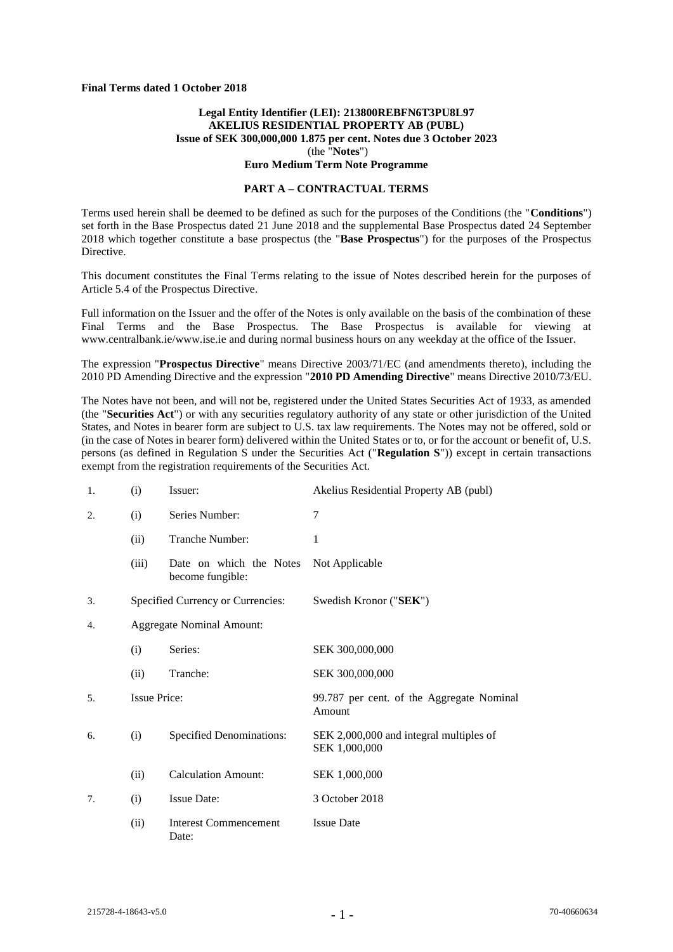#### **Final Terms dated 1 October 2018**

### **Legal Entity Identifier (LEI): 213800REBFN6T3PU8L97 AKELIUS RESIDENTIAL PROPERTY AB (PUBL) Issue of SEK 300,000,000 1.875 per cent. Notes due 3 October 2023** (the "**Notes**") **Euro Medium Term Note Programme**

#### **PART A – CONTRACTUAL TERMS**

Terms used herein shall be deemed to be defined as such for the purposes of the Conditions (the "**Conditions**") set forth in the Base Prospectus dated 21 June 2018 and the supplemental Base Prospectus dated 24 September 2018 which together constitute a base prospectus (the "**Base Prospectus**") for the purposes of the Prospectus Directive.

This document constitutes the Final Terms relating to the issue of Notes described herein for the purposes of Article 5.4 of the Prospectus Directive.

Full information on the Issuer and the offer of the Notes is only available on the basis of the combination of these Final Terms and the Base Prospectus. The Base Prospectus is available for viewing at www.centralbank.ie/www.ise.ie and during normal business hours on any weekday at the office of the Issuer.

The expression "**Prospectus Directive**" means Directive 2003/71/EC (and amendments thereto), including the 2010 PD Amending Directive and the expression "**2010 PD Amending Directive**" means Directive 2010/73/EU.

The Notes have not been, and will not be, registered under the United States Securities Act of 1933, as amended (the "**Securities Act**") or with any securities regulatory authority of any state or other jurisdiction of the United States, and Notes in bearer form are subject to U.S. tax law requirements. The Notes may not be offered, sold or (in the case of Notes in bearer form) delivered within the United States or to, or for the account or benefit of, U.S. persons (as defined in Regulation S under the Securities Act ("**Regulation S**")) except in certain transactions exempt from the registration requirements of the Securities Act.

| 1. | (i)                 | Issuer:                                     | Akelius Residential Property AB (publ)                   |
|----|---------------------|---------------------------------------------|----------------------------------------------------------|
| 2. | (i)                 | Series Number:                              | 7                                                        |
|    | (ii)                | Tranche Number:                             | 1                                                        |
|    | (iii)               | Date on which the Notes<br>become fungible: | Not Applicable                                           |
| 3. |                     | Specified Currency or Currencies:           | Swedish Kronor ("SEK")                                   |
| 4. |                     | <b>Aggregate Nominal Amount:</b>            |                                                          |
|    | (i)                 | Series:                                     | SEK 300,000,000                                          |
|    | (ii)                | Tranche:                                    | SEK 300,000,000                                          |
| 5. | <b>Issue Price:</b> |                                             | 99.787 per cent. of the Aggregate Nominal<br>Amount      |
| 6. | (i)                 | <b>Specified Denominations:</b>             | SEK 2,000,000 and integral multiples of<br>SEK 1,000,000 |
|    | (ii)                | <b>Calculation Amount:</b>                  | SEK 1,000,000                                            |
| 7. | (i)                 | <b>Issue Date:</b>                          | 3 October 2018                                           |
|    | (ii)                | <b>Interest Commencement</b><br>Date:       | <b>Issue Date</b>                                        |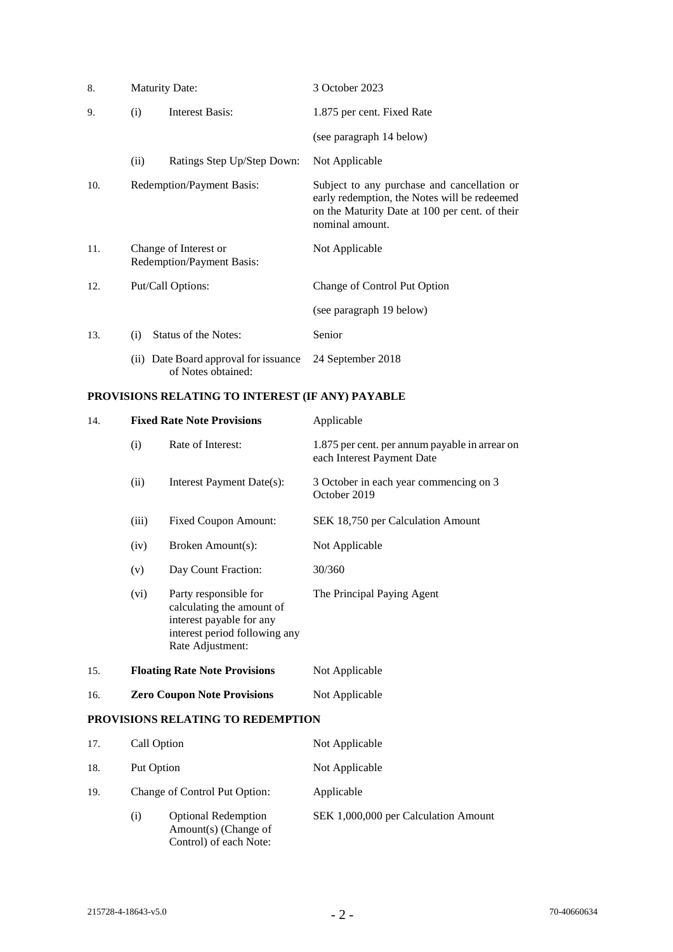| 8.  | <b>Maturity Date:</b>                              |                                                             | 3 October 2023                                                                                                                                                   |
|-----|----------------------------------------------------|-------------------------------------------------------------|------------------------------------------------------------------------------------------------------------------------------------------------------------------|
| 9.  | <b>Interest Basis:</b><br>(i)                      |                                                             | 1.875 per cent. Fixed Rate                                                                                                                                       |
|     |                                                    |                                                             | (see paragraph 14 below)                                                                                                                                         |
|     | (ii)                                               | Ratings Step Up/Step Down:                                  | Not Applicable                                                                                                                                                   |
| 10. | Redemption/Payment Basis:                          |                                                             | Subject to any purchase and cancellation or<br>early redemption, the Notes will be redeemed<br>on the Maturity Date at 100 per cent. of their<br>nominal amount. |
| 11. | Change of Interest or<br>Redemption/Payment Basis: |                                                             | Not Applicable                                                                                                                                                   |
| 12. | Put/Call Options:                                  |                                                             | Change of Control Put Option                                                                                                                                     |
|     |                                                    |                                                             | (see paragraph 19 below)                                                                                                                                         |
| 13. | (i)                                                | Status of the Notes:                                        | Senior                                                                                                                                                           |
|     |                                                    | (ii) Date Board approval for issuance<br>of Notes obtained: | 24 September 2018                                                                                                                                                |

# **PROVISIONS RELATING TO INTEREST (IF ANY) PAYABLE**

| 14. |             | <b>Fixed Rate Note Provisions</b>                                                                                                   | Applicable                                                                   |  |
|-----|-------------|-------------------------------------------------------------------------------------------------------------------------------------|------------------------------------------------------------------------------|--|
|     | (i)         | Rate of Interest:                                                                                                                   | 1.875 per cent. per annum payable in arrear on<br>each Interest Payment Date |  |
|     | (ii)        | Interest Payment Date(s):                                                                                                           | 3 October in each year commencing on 3<br>October 2019                       |  |
|     | (iii)       | <b>Fixed Coupon Amount:</b>                                                                                                         | SEK 18,750 per Calculation Amount                                            |  |
|     | (iv)        | Broken Amount(s):                                                                                                                   | Not Applicable                                                               |  |
|     | (v)         | Day Count Fraction:                                                                                                                 | 30/360                                                                       |  |
|     | (vi)        | Party responsible for<br>calculating the amount of<br>interest payable for any<br>interest period following any<br>Rate Adjustment: | The Principal Paying Agent                                                   |  |
| 15. |             | <b>Floating Rate Note Provisions</b>                                                                                                | Not Applicable                                                               |  |
| 16. |             | <b>Zero Coupon Note Provisions</b>                                                                                                  | Not Applicable                                                               |  |
|     |             | PROVISIONS RELATING TO REDEMPTION                                                                                                   |                                                                              |  |
| 17. | Call Option |                                                                                                                                     | Not Applicable                                                               |  |
| 18. | Put Option  |                                                                                                                                     | Not Applicable                                                               |  |
| 19. |             | Change of Control Put Option:                                                                                                       | Applicable                                                                   |  |
|     | (i)         | <b>Optional Redemption</b><br>Amount(s) (Change of                                                                                  | SEK 1,000,000 per Calculation Amount                                         |  |

Control) of each Note: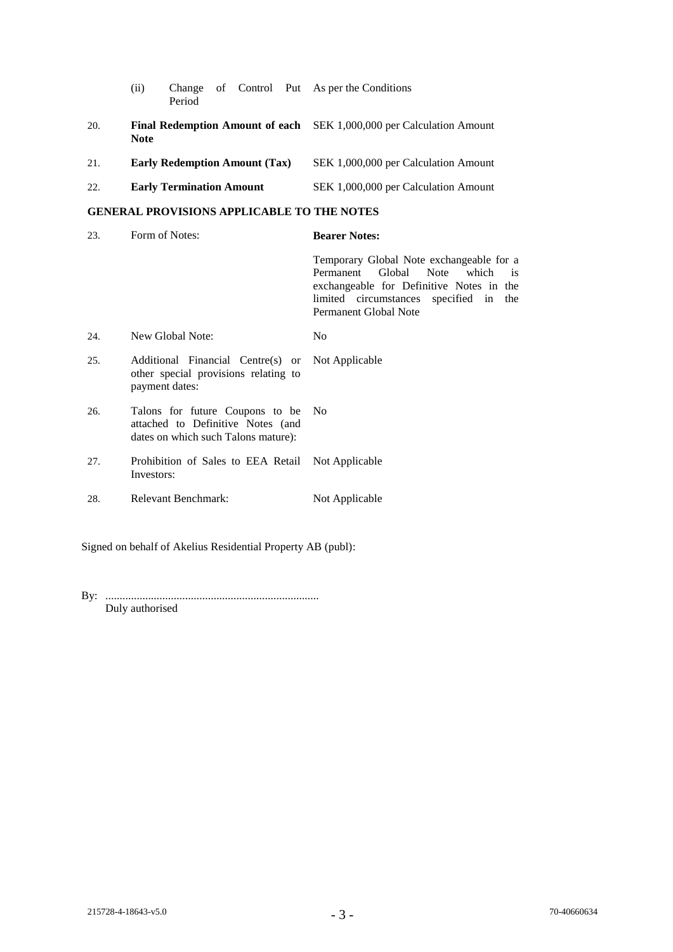| (ii) |        |  | Change of Control Put As per the Conditions |
|------|--------|--|---------------------------------------------|
|      | Period |  |                                             |

20. **Final Redemption Amount of each**  SEK 1,000,000 per Calculation Amount **Note**

| 21. | <b>Early Redemption Amount (Tax)</b> | SEK 1,000,000 per Calculation Amount |
|-----|--------------------------------------|--------------------------------------|
|     |                                      |                                      |

22. **Early Termination Amount** SEK 1,000,000 per Calculation Amount

# **GENERAL PROVISIONS APPLICABLE TO THE NOTES**

| 23. | Form of Notes:                                                                                                 | <b>Bearer Notes:</b>                                                                                                                                                                                    |
|-----|----------------------------------------------------------------------------------------------------------------|---------------------------------------------------------------------------------------------------------------------------------------------------------------------------------------------------------|
|     |                                                                                                                | Temporary Global Note exchangeable for a<br>Permanent Global Note which<br>$\frac{1}{1}$<br>exchangeable for Definitive Notes in the<br>limited circumstances specified in the<br>Permanent Global Note |
| 24. | New Global Note:                                                                                               | No.                                                                                                                                                                                                     |
| 25. | Additional Financial Centre(s) or Not Applicable<br>other special provisions relating to<br>payment dates:     |                                                                                                                                                                                                         |
| 26. | Talons for future Coupons to be No<br>attached to Definitive Notes (and<br>dates on which such Talons mature): |                                                                                                                                                                                                         |
| 27  | $Drchithition$ of $Colog$ to $ELA$ $Dotoil$ Mot Applicable                                                     |                                                                                                                                                                                                         |

- 27. Prohibition of Sales to EEA Retail Not Applicable Investors:
- 28. Relevant Benchmark: Not Applicable

Signed on behalf of Akelius Residential Property AB (publ):

By: ........................................................................... Duly authorised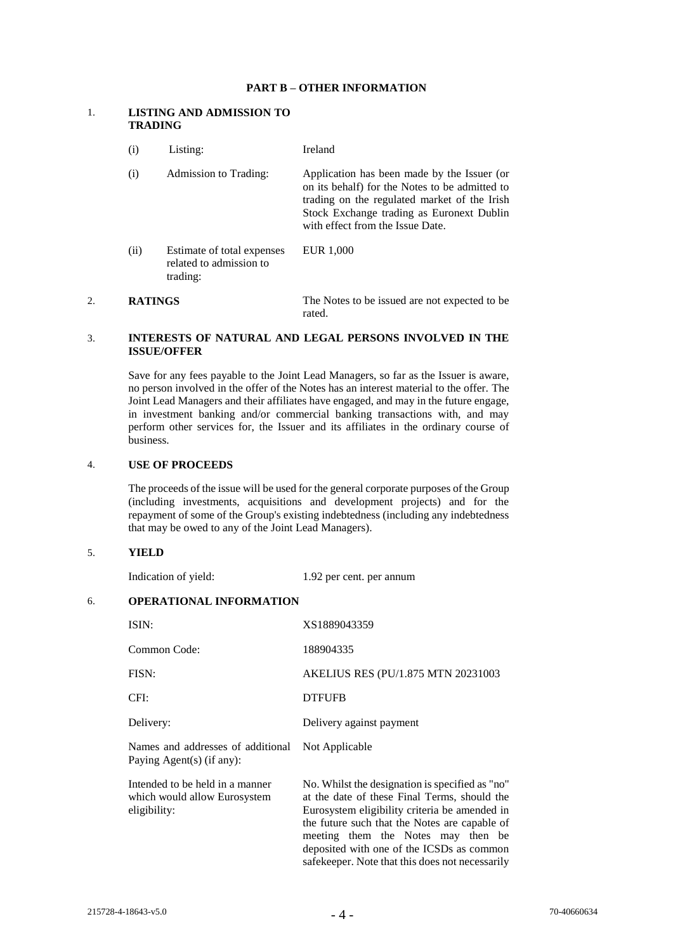### **PART B – OTHER INFORMATION**

### 1. **LISTING AND ADMISSION TO TRADING**

| (i)  | Listing:                                                          | Ireland                                                                                                                                                                                                                        |
|------|-------------------------------------------------------------------|--------------------------------------------------------------------------------------------------------------------------------------------------------------------------------------------------------------------------------|
| (i)  | Admission to Trading:                                             | Application has been made by the Issuer (or<br>on its behalf) for the Notes to be admitted to<br>trading on the regulated market of the Irish<br>Stock Exchange trading as Euronext Dublin<br>with effect from the Issue Date. |
| (ii) | Estimate of total expenses<br>related to admission to<br>trading: | EUR 1,000                                                                                                                                                                                                                      |

#### 2. **RATINGS** The Notes to be issued are not expected to be rated.

# 3. **INTERESTS OF NATURAL AND LEGAL PERSONS INVOLVED IN THE ISSUE/OFFER**

Save for any fees payable to the Joint Lead Managers, so far as the Issuer is aware, no person involved in the offer of the Notes has an interest material to the offer. The Joint Lead Managers and their affiliates have engaged, and may in the future engage, in investment banking and/or commercial banking transactions with, and may perform other services for, the Issuer and its affiliates in the ordinary course of business.

# 4. **USE OF PROCEEDS**

The proceeds of the issue will be used for the general corporate purposes of the Group (including investments, acquisitions and development projects) and for the repayment of some of the Group's existing indebtedness (including any indebtedness that may be owed to any of the Joint Lead Managers).

#### 5. **YIELD**

Indication of yield: 1.92 per cent. per annum

### 6. **OPERATIONAL INFORMATION**

| ISIN:                                                                           | XS1889043359                                                                                                                                                                                                                                                                                                                            |
|---------------------------------------------------------------------------------|-----------------------------------------------------------------------------------------------------------------------------------------------------------------------------------------------------------------------------------------------------------------------------------------------------------------------------------------|
| Common Code:                                                                    | 188904335                                                                                                                                                                                                                                                                                                                               |
| FISN:                                                                           | AKELIUS RES (PU/1.875 MTN 20231003                                                                                                                                                                                                                                                                                                      |
| CFI:                                                                            | <b>DTFUFB</b>                                                                                                                                                                                                                                                                                                                           |
| Delivery:                                                                       | Delivery against payment                                                                                                                                                                                                                                                                                                                |
| Names and addresses of additional<br>Paying Agent(s) (if any):                  | Not Applicable                                                                                                                                                                                                                                                                                                                          |
| Intended to be held in a manner<br>which would allow Eurosystem<br>eligibility: | No. Whilst the designation is specified as "no"<br>at the date of these Final Terms, should the<br>Eurosystem eligibility criteria be amended in<br>the future such that the Notes are capable of<br>meeting them the Notes may then be<br>deposited with one of the ICSDs as common<br>safekeeper. Note that this does not necessarily |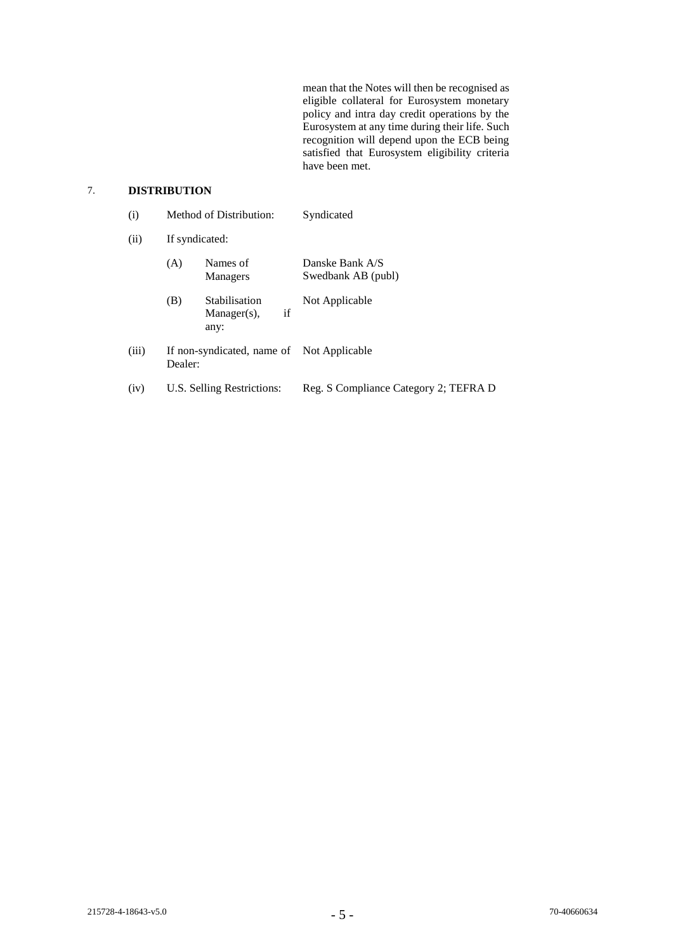mean that the Notes will then be recognised as eligible collateral for Eurosystem monetary policy and intra day credit operations by the Eurosystem at any time during their life. Such recognition will depend upon the ECB being satisfied that Eurosystem eligibility criteria have been met.

# 7. **DISTRIBUTION**

| (i)   | Method of Distribution:                              |                                               | Syndicated                            |  |
|-------|------------------------------------------------------|-----------------------------------------------|---------------------------------------|--|
| (ii)  | If syndicated:                                       |                                               |                                       |  |
|       | (A)                                                  | Names of<br><b>Managers</b>                   | Danske Bank A/S<br>Swedbank AB (publ) |  |
|       | (B)                                                  | Stabilisation<br>if<br>$Manager(s)$ ,<br>any: | Not Applicable                        |  |
| (iii) | If non-syndicated, name of Not Applicable<br>Dealer: |                                               |                                       |  |
| (iv)  | U.S. Selling Restrictions:                           |                                               | Reg. S Compliance Category 2; TEFRA D |  |